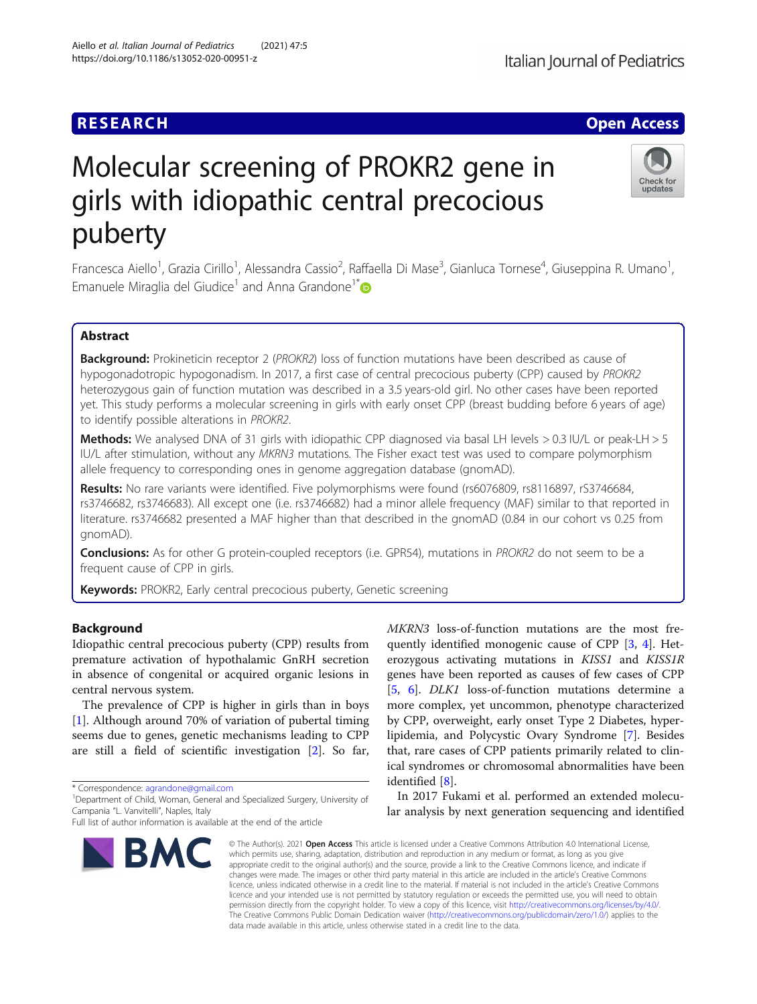# Molecular screening of PROKR2 gene in girls with idiopathic central precocious puberty

Francesca Aiello<sup>1</sup>, Grazia Cirillo<sup>1</sup>, Alessandra Cassio<sup>2</sup>, Raffaella Di Mase<sup>3</sup>, Gianluca Tornese<sup>4</sup>, Giuseppina R. Umano<sup>1</sup> , Emanuele Miraglia del Giudice<sup>1</sup> and Anna Grandone<sup>1[\\*](http://orcid.org/0000-0002-6343-4768)</sup>

# Abstract

Background: Prokineticin receptor 2 (PROKR2) loss of function mutations have been described as cause of hypogonadotropic hypogonadism. In 2017, a first case of central precocious puberty (CPP) caused by PROKR2 heterozygous gain of function mutation was described in a 3.5 years-old girl. No other cases have been reported yet. This study performs a molecular screening in girls with early onset CPP (breast budding before 6 years of age) to identify possible alterations in PROKR2.

Methods: We analysed DNA of 31 girls with idiopathic CPP diagnosed via basal LH levels > 0.3 IU/L or peak-LH > 5 IU/L after stimulation, without any MKRN3 mutations. The Fisher exact test was used to compare polymorphism allele frequency to corresponding ones in genome aggregation database (gnomAD).

Results: No rare variants were identified. Five polymorphisms were found (rs6076809, rs8116897, rS3746684, rs3746682, rs3746683). All except one (i.e. rs3746682) had a minor allele frequency (MAF) similar to that reported in literature. rs3746682 presented a MAF higher than that described in the gnomAD (0.84 in our cohort vs 0.25 from gnomAD).

**Conclusions:** As for other G protein-coupled receptors (i.e. GPR54), mutations in PROKR2 do not seem to be a frequent cause of CPP in girls.

Keywords: PROKR2, Early central precocious puberty, Genetic screening

# Background

Idiopathic central precocious puberty (CPP) results from premature activation of hypothalamic GnRH secretion in absence of congenital or acquired organic lesions in central nervous system.

The prevalence of CPP is higher in girls than in boys [[1\]](#page-4-0). Although around 70% of variation of pubertal timing seems due to genes, genetic mechanisms leading to CPP are still a field of scientific investigation [\[2](#page-4-0)]. So far,

\* Correspondence: [agrandone@gmail.com](mailto:agrandone@gmail.com) <sup>1</sup>

<sup>1</sup>Department of Child, Woman, General and Specialized Surgery, University of Campania "L. Vanvitelli", Naples, Italy

Aiello et al. Italian Journal of Pediatrics (2021) 47:5 https://doi.org/10.1186/s13052-020-00951-z

> © The Author(s), 2021 **Open Access** This article is licensed under a Creative Commons Attribution 4.0 International License, **RMC** which permits use, sharing, adaptation, distribution and reproduction in any medium or format, as long as you give appropriate credit to the original author(s) and the source, provide a link to the Creative Commons licence, and indicate if changes were made. The images or other third party material in this article are included in the article's Creative Commons licence, unless indicated otherwise in a credit line to the material. If material is not included in the article's Creative Commons licence and your intended use is not permitted by statutory regulation or exceeds the permitted use, you will need to obtain permission directly from the copyright holder. To view a copy of this licence, visit [http://creativecommons.org/licenses/by/4.0/.](http://creativecommons.org/licenses/by/4.0/)

> > data made available in this article, unless otherwise stated in a credit line to the data.

MKRN3 loss-of-function mutations are the most frequently identified monogenic cause of CPP [\[3](#page-4-0), [4](#page-4-0)]. Heterozygous activating mutations in KISS1 and KISS1R genes have been reported as causes of few cases of CPP [[5,](#page-4-0) [6](#page-4-0)]. DLK1 loss-of-function mutations determine a more complex, yet uncommon, phenotype characterized by CPP, overweight, early onset Type 2 Diabetes, hyperlipidemia, and Polycystic Ovary Syndrome [[7](#page-4-0)]. Besides that, rare cases of CPP patients primarily related to clinical syndromes or chromosomal abnormalities have been identified [\[8](#page-4-0)].

In 2017 Fukami et al. performed an extended molecular analysis by next generation sequencing and identified

The Creative Commons Public Domain Dedication waiver [\(http://creativecommons.org/publicdomain/zero/1.0/](http://creativecommons.org/publicdomain/zero/1.0/)) applies to the

**RESEARCH CHE Open Access** 









Full list of author information is available at the end of the article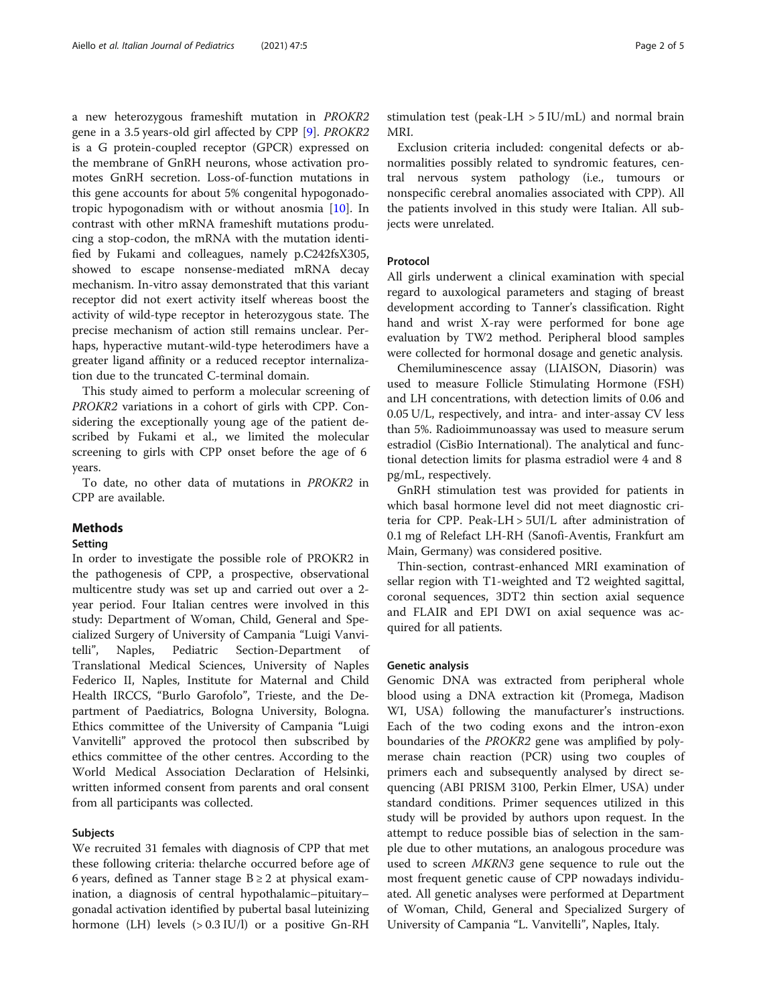a new heterozygous frameshift mutation in PROKR2 gene in a 3.5 years-old girl affected by CPP [\[9](#page-4-0)]. PROKR2 is a G protein-coupled receptor (GPCR) expressed on the membrane of GnRH neurons, whose activation promotes GnRH secretion. Loss-of-function mutations in this gene accounts for about 5% congenital hypogonadotropic hypogonadism with or without anosmia [\[10](#page-4-0)]. In contrast with other mRNA frameshift mutations producing a stop-codon, the mRNA with the mutation identified by Fukami and colleagues, namely p.C242fsX305, showed to escape nonsense-mediated mRNA decay mechanism. In-vitro assay demonstrated that this variant receptor did not exert activity itself whereas boost the activity of wild-type receptor in heterozygous state. The precise mechanism of action still remains unclear. Perhaps, hyperactive mutant-wild-type heterodimers have a greater ligand affinity or a reduced receptor internalization due to the truncated C-terminal domain.

This study aimed to perform a molecular screening of PROKR2 variations in a cohort of girls with CPP. Considering the exceptionally young age of the patient described by Fukami et al., we limited the molecular screening to girls with CPP onset before the age of 6 years.

To date, no other data of mutations in PROKR2 in CPP are available.

# Methods

# Setting

In order to investigate the possible role of PROKR2 in the pathogenesis of CPP, a prospective, observational multicentre study was set up and carried out over a 2 year period. Four Italian centres were involved in this study: Department of Woman, Child, General and Specialized Surgery of University of Campania "Luigi Vanvitelli", Naples, Pediatric Section-Department of Translational Medical Sciences, University of Naples Federico II, Naples, Institute for Maternal and Child Health IRCCS, "Burlo Garofolo", Trieste, and the Department of Paediatrics, Bologna University, Bologna. Ethics committee of the University of Campania "Luigi Vanvitelli" approved the protocol then subscribed by ethics committee of the other centres. According to the World Medical Association Declaration of Helsinki, written informed consent from parents and oral consent from all participants was collected.

## Subjects

We recruited 31 females with diagnosis of CPP that met these following criteria: thelarche occurred before age of 6 years, defined as Tanner stage  $B \ge 2$  at physical examination, a diagnosis of central hypothalamic–pituitary– gonadal activation identified by pubertal basal luteinizing hormone (LH) levels  $(> 0.3$  IU/l) or a positive Gn-RH

stimulation test (peak-LH  $>$  5 IU/mL) and normal brain MRI.

Exclusion criteria included: congenital defects or abnormalities possibly related to syndromic features, central nervous system pathology (i.e., tumours or nonspecific cerebral anomalies associated with CPP). All the patients involved in this study were Italian. All subjects were unrelated.

# Protocol

All girls underwent a clinical examination with special regard to auxological parameters and staging of breast development according to Tanner's classification. Right hand and wrist X-ray were performed for bone age evaluation by TW2 method. Peripheral blood samples were collected for hormonal dosage and genetic analysis.

Chemiluminescence assay (LIAISON, Diasorin) was used to measure Follicle Stimulating Hormone (FSH) and LH concentrations, with detection limits of 0.06 and 0.05 U/L, respectively, and intra- and inter-assay CV less than 5%. Radioimmunoassay was used to measure serum estradiol (CisBio International). The analytical and functional detection limits for plasma estradiol were 4 and 8 pg/mL, respectively.

GnRH stimulation test was provided for patients in which basal hormone level did not meet diagnostic criteria for CPP. Peak-LH > 5UI/L after administration of 0.1 mg of Relefact LH-RH (Sanofi-Aventis, Frankfurt am Main, Germany) was considered positive.

Thin-section, contrast-enhanced MRI examination of sellar region with T1-weighted and T2 weighted sagittal, coronal sequences, 3DT2 thin section axial sequence and FLAIR and EPI DWI on axial sequence was acquired for all patients.

# Genetic analysis

Genomic DNA was extracted from peripheral whole blood using a DNA extraction kit (Promega, Madison WI, USA) following the manufacturer's instructions. Each of the two coding exons and the intron-exon boundaries of the PROKR2 gene was amplified by polymerase chain reaction (PCR) using two couples of primers each and subsequently analysed by direct sequencing (ABI PRISM 3100, Perkin Elmer, USA) under standard conditions. Primer sequences utilized in this study will be provided by authors upon request. In the attempt to reduce possible bias of selection in the sample due to other mutations, an analogous procedure was used to screen MKRN3 gene sequence to rule out the most frequent genetic cause of CPP nowadays individuated. All genetic analyses were performed at Department of Woman, Child, General and Specialized Surgery of University of Campania "L. Vanvitelli", Naples, Italy.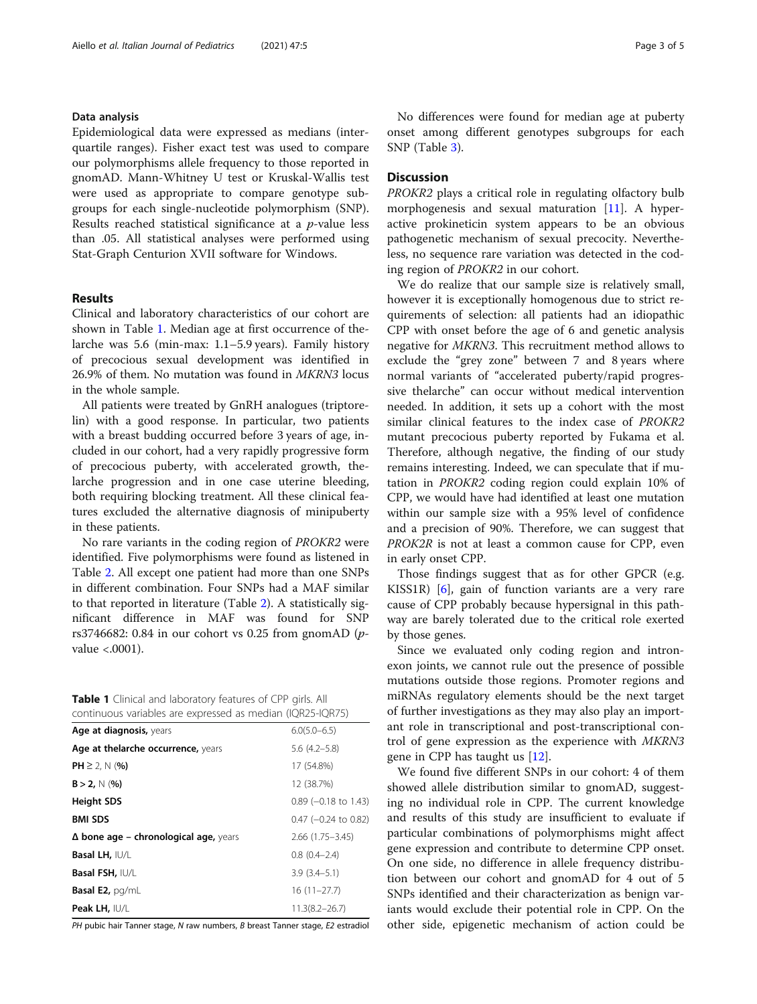# Data analysis

Epidemiological data were expressed as medians (interquartile ranges). Fisher exact test was used to compare our polymorphisms allele frequency to those reported in gnomAD. Mann-Whitney U test or Kruskal-Wallis test were used as appropriate to compare genotype subgroups for each single-nucleotide polymorphism (SNP). Results reached statistical significance at a p-value less than .05. All statistical analyses were performed using Stat-Graph Centurion XVII software for Windows.

# Results

Clinical and laboratory characteristics of our cohort are shown in Table 1. Median age at first occurrence of thelarche was 5.6 (min-max: 1.1–5.9 years). Family history of precocious sexual development was identified in 26.9% of them. No mutation was found in MKRN3 locus in the whole sample.

All patients were treated by GnRH analogues (triptorelin) with a good response. In particular, two patients with a breast budding occurred before 3 years of age, included in our cohort, had a very rapidly progressive form of precocious puberty, with accelerated growth, thelarche progression and in one case uterine bleeding, both requiring blocking treatment. All these clinical features excluded the alternative diagnosis of minipuberty in these patients.

No rare variants in the coding region of PROKR2 were identified. Five polymorphisms were found as listened in Table [2.](#page-3-0) All except one patient had more than one SNPs in different combination. Four SNPs had a MAF similar to that reported in literature (Table [2\)](#page-3-0). A statistically significant difference in MAF was found for SNP rs3746682: 0.84 in our cohort vs 0.25 from gnomAD ( $p$ value <.0001).

| Table 1 Clinical and laboratory features of CPP girls. All |
|------------------------------------------------------------|
| continuous variables are expressed as median (IQR25-IQR75) |

| Age at diagnosis, years                      | $6.0(5.0 - 6.5)$       |
|----------------------------------------------|------------------------|
| Age at thelarche occurrence, years           | $5.6$ $(4.2-5.8)$      |
| $PH \geq 2$ , N (%)                          | 17 (54.8%)             |
| $B > 2$ , N (%)                              | 12 (38.7%)             |
| <b>Height SDS</b>                            | $0.89$ (-0.18 to 1.43) |
| <b>BMI SDS</b>                               | $0.47$ (-0.24 to 0.82) |
| $\Delta$ bone age – chronological age, years | $2.66(1.75 - 3.45)$    |
| Basal LH, IU/L                               | $0.8(0.4 - 2.4)$       |
| Basal FSH, IU/L                              | $3.9(3.4 - 5.1)$       |
| <b>Basal E2, pg/mL</b>                       | $16(11-27.7)$          |
| Peak LH, IU/L                                | $11.3(8.2 - 26.7)$     |

PH pubic hair Tanner stage, N raw numbers, B breast Tanner stage, E2 estradiol

No differences were found for median age at puberty onset among different genotypes subgroups for each SNP (Table [3\)](#page-3-0).

# **Discussion**

PROKR2 plays a critical role in regulating olfactory bulb morphogenesis and sexual maturation [\[11](#page-4-0)]. A hyperactive prokineticin system appears to be an obvious pathogenetic mechanism of sexual precocity. Nevertheless, no sequence rare variation was detected in the coding region of PROKR2 in our cohort.

We do realize that our sample size is relatively small, however it is exceptionally homogenous due to strict requirements of selection: all patients had an idiopathic CPP with onset before the age of 6 and genetic analysis negative for MKRN3. This recruitment method allows to exclude the "grey zone" between 7 and 8 years where normal variants of "accelerated puberty/rapid progressive thelarche" can occur without medical intervention needed. In addition, it sets up a cohort with the most similar clinical features to the index case of PROKR2 mutant precocious puberty reported by Fukama et al. Therefore, although negative, the finding of our study remains interesting. Indeed, we can speculate that if mutation in PROKR2 coding region could explain 10% of CPP, we would have had identified at least one mutation within our sample size with a 95% level of confidence and a precision of 90%. Therefore, we can suggest that PROK2R is not at least a common cause for CPP, even in early onset CPP.

Those findings suggest that as for other GPCR (e.g. KISS1R) [[6\]](#page-4-0), gain of function variants are a very rare cause of CPP probably because hypersignal in this pathway are barely tolerated due to the critical role exerted by those genes.

Since we evaluated only coding region and intronexon joints, we cannot rule out the presence of possible mutations outside those regions. Promoter regions and miRNAs regulatory elements should be the next target of further investigations as they may also play an important role in transcriptional and post-transcriptional control of gene expression as the experience with MKRN3 gene in CPP has taught us [[12\]](#page-4-0).

We found five different SNPs in our cohort: 4 of them showed allele distribution similar to gnomAD, suggesting no individual role in CPP. The current knowledge and results of this study are insufficient to evaluate if particular combinations of polymorphisms might affect gene expression and contribute to determine CPP onset. On one side, no difference in allele frequency distribution between our cohort and gnomAD for 4 out of 5 SNPs identified and their characterization as benign variants would exclude their potential role in CPP. On the other side, epigenetic mechanism of action could be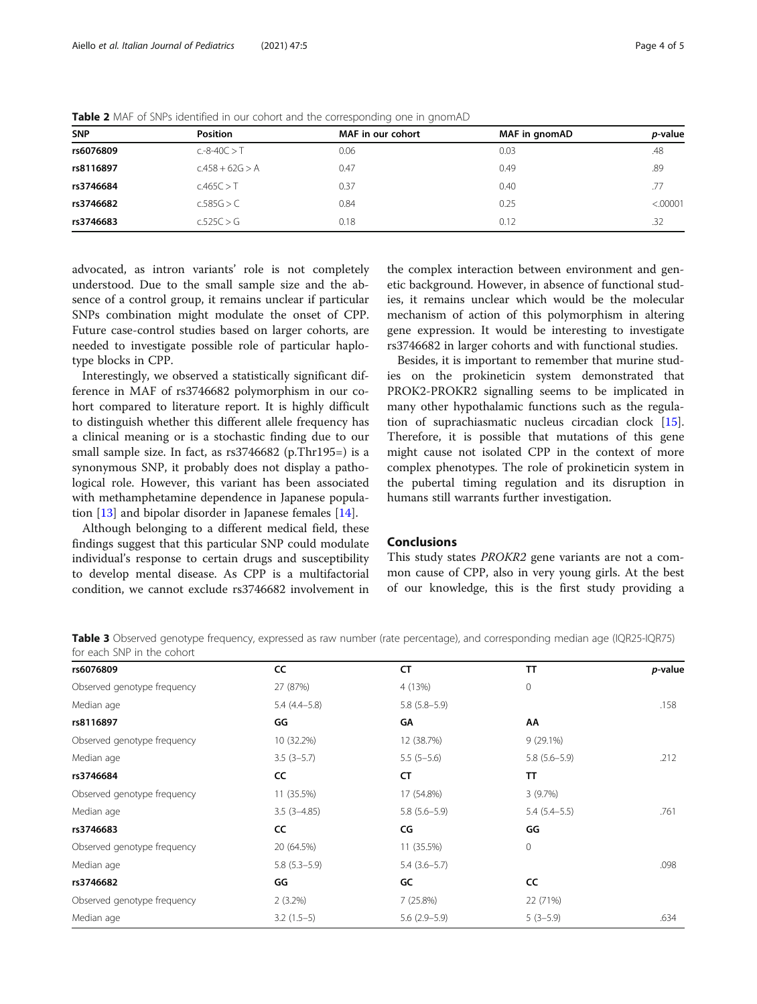| <b>SNP</b> | <b>Position</b>   | MAF in our cohort | MAF in gnomAD | <i>p</i> -value |
|------------|-------------------|-------------------|---------------|-----------------|
| rs6076809  | $c.-8-40C > T$    | 0.06              | 0.03          | .48             |
| rs8116897  | $C.458 + 62G > A$ | 0.47              | 0.49          | .89             |
| rs3746684  | c.465C > T        | 0.37              | 0.40          | .77             |
| rs3746682  | c.585G > C        | 0.84              | 0.25          | < .00001        |
| rs3746683  | c.525C > G        | 0.18              | 0.12          | .32             |

<span id="page-3-0"></span>Table 2 MAF of SNPs identified in our cohort and the corresponding one in gnomAD

advocated, as intron variants' role is not completely understood. Due to the small sample size and the absence of a control group, it remains unclear if particular SNPs combination might modulate the onset of CPP. Future case-control studies based on larger cohorts, are needed to investigate possible role of particular haplotype blocks in CPP.

Interestingly, we observed a statistically significant difference in MAF of rs3746682 polymorphism in our cohort compared to literature report. It is highly difficult to distinguish whether this different allele frequency has a clinical meaning or is a stochastic finding due to our small sample size. In fact, as rs3746682 (p.Thr195=) is a synonymous SNP, it probably does not display a pathological role. However, this variant has been associated with methamphetamine dependence in Japanese population [\[13\]](#page-4-0) and bipolar disorder in Japanese females [[14\]](#page-4-0).

Although belonging to a different medical field, these findings suggest that this particular SNP could modulate individual's response to certain drugs and susceptibility to develop mental disease. As CPP is a multifactorial condition, we cannot exclude rs3746682 involvement in

the complex interaction between environment and genetic background. However, in absence of functional studies, it remains unclear which would be the molecular mechanism of action of this polymorphism in altering gene expression. It would be interesting to investigate rs3746682 in larger cohorts and with functional studies.

Besides, it is important to remember that murine studies on the prokineticin system demonstrated that PROK2-PROKR2 signalling seems to be implicated in many other hypothalamic functions such as the regulation of suprachiasmatic nucleus circadian clock [\[15](#page-4-0)]. Therefore, it is possible that mutations of this gene might cause not isolated CPP in the context of more complex phenotypes. The role of prokineticin system in the pubertal timing regulation and its disruption in humans still warrants further investigation.

# Conclusions

This study states PROKR2 gene variants are not a common cause of CPP, also in very young girls. At the best of our knowledge, this is the first study providing a

Table 3 Observed genotype frequency, expressed as raw number (rate percentage), and corresponding median age (IQR25-IQR75) for each SNP in the cohort

| rs6076809                   | CC              | CT               | <b>TT</b>        | p-value |
|-----------------------------|-----------------|------------------|------------------|---------|
| Observed genotype frequency | 27 (87%)        | 4 (13%)          | $\mathbf 0$      |         |
| Median age                  | $5.4(4.4-5.8)$  | $5.8(5.8-5.9)$   |                  | .158    |
| rs8116897                   | GG              | GΑ               | АΑ               |         |
| Observed genotype frequency | 10 (32.2%)      | 12 (38.7%)       | $9(29.1\%)$      |         |
| Median age                  | $3.5(3-5.7)$    | $5.5(5-5.6)$     | $5.8(5.6 - 5.9)$ | .212    |
| rs3746684                   | cc              | <b>CT</b>        | π                |         |
| Observed genotype frequency | 11 (35.5%)      | 17 (54.8%)       | 3(9.7%)          |         |
| Median age                  | $3.5(3 - 4.85)$ | $5.8(5.6 - 5.9)$ | $5.4(5.4-5.5)$   | .761    |
| rs3746683                   | cc              | CG               | GG               |         |
| Observed genotype frequency | 20 (64.5%)      | 11 (35.5%)       | $\mathbf{0}$     |         |
| Median age                  | $5.8(5.3-5.9)$  | $5.4(3.6-5.7)$   |                  | .098    |
| rs3746682                   | GG              | GC               | cc               |         |
| Observed genotype frequency | $2(3.2\%)$      | 7(25.8%)         | 22 (71%)         |         |
| Median age                  | $3.2(1.5-5)$    | $5.6(2.9-5.9)$   | $5(3-5.9)$       | .634    |